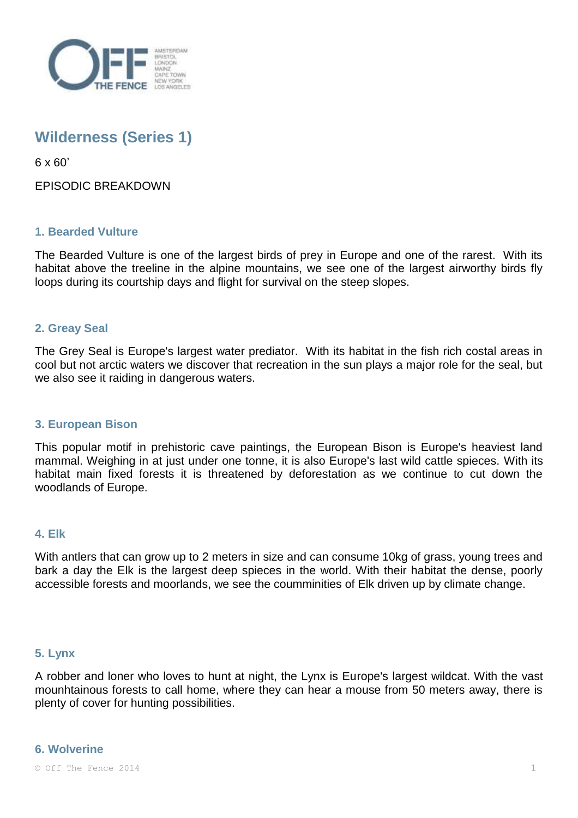

# **Wilderness (Series 1)**

6 x 60'

EPISODIC BREAKDOWN

## **1. Bearded Vulture**

The Bearded Vulture is one of the largest birds of prey in Europe and one of the rarest. With its habitat above the treeline in the alpine mountains, we see one of the largest airworthy birds fly loops during its courtship days and flight for survival on the steep slopes.

## **2. Greay Seal**

The Grey Seal is Europe's largest water prediator. With its habitat in the fish rich costal areas in cool but not arctic waters we discover that recreation in the sun plays a major role for the seal, but we also see it raiding in dangerous waters.

### **3. European Bison**

This popular motif in prehistoric cave paintings, the European Bison is Europe's heaviest land mammal. Weighing in at just under one tonne, it is also Europe's last wild cattle spieces. With its habitat main fixed forests it is threatened by deforestation as we continue to cut down the woodlands of Europe.

### **4. Elk**

With antlers that can grow up to 2 meters in size and can consume 10kg of grass, young trees and bark a day the Elk is the largest deep spieces in the world. With their habitat the dense, poorly accessible forests and moorlands, we see the coumminities of Elk driven up by climate change.

### **5. Lynx**

A robber and loner who loves to hunt at night, the Lynx is Europe's largest wildcat. With the vast mounhtainous forests to call home, where they can hear a mouse from 50 meters away, there is plenty of cover for hunting possibilities.

### **6. Wolverine**